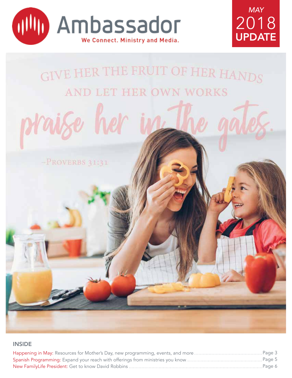





### **INSIDE**

| …Paqe 6 |  |
|---------|--|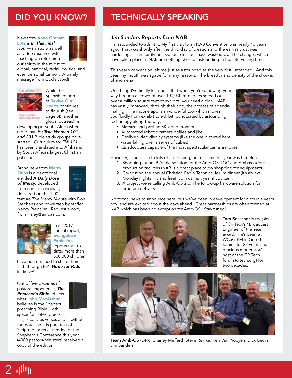New from Anne Graham Lotz is *In This Final Hour*—an audio as well as video resource with teaching on refreshing our spirits in the midst of



global, national, racial, political and even personal turmoil. A timely message from God's Word!



While the Spanish edition of Revive Our Hearts continues to flourish (see page 5!), another global outreach is developing in South Africa where

more than 50 *True Woman 101*  and 201 Bible study groups have started. Curriculum for *TW 101* has been translated into Afrikaans by South Africa's largest Christian publisher.

Brand new from Mercy Ships is a devotional entitled *A Daily Dose of Mercy*, developed from content originally delivered on the 1:00



feature *The Mercy Minute* with Don Stephens and co-written by staffer Nancy Predaina. Request a copy from Haley@ambaa.com.



In its 2017 annual report, Evangelism **Explosion** reports that to date, more than 500,000 children

have been trained to share their faith through EE's *Hope for Kids* initiative!

Out of five decades of pastoral experience, *The Preacher's Bible* reflects what John MacArthur believes is the "perfect preaching Bible" with

 $2$   $1$ 

space for notes, opens flat, separates verses and is without footnotes so it is pure text of Scripture. *Every* attendee of the Shepherd's Conference this year (4000 pastors/ministers) received a copy of the edition.

# DID YOU KNOW? TECHNICALLY SPEAKING

### *Jim Sanders Reports from NAB*

I'm astounded to admit it: My first visit to an NAB Convention was nearly 40 years ago. That was shortly after the third day of creation and the earth's crust was hardening. I can hardly believe four decades have washed by. The changes which have taken place at NAB are nothing short of astounding in the intervening time.

This year's convention left me just as astounded as the very first I attended. And this year, my mouth was agape for many reasons. The breadth and density of the show is phenomenal.

One thing I've finally learned is that when you're elbowing your way through a crowd of over 100,000 attendees spread out over a million square feet of exhibits, you need a plan. NAB has vastly improved, through their app, the process of agendamaking. The mobile app is a wonderful tool which moves you fluidly from exhibit to exhibit, punctuated by astounding technology along the way:

- Massive and pristine 8K video monitors
- Automated robotic camera dollies and jibs
- Flexible video display systems (like the one pictured here; water falling over a series of cubes)
- Quadcopters capable of the most spectacular camera moves

However, in addition to lots of tire-kicking, our mission this year was threefold:

- 1. Shopping for an IP Audio solution for the Amb-OS TOC and Ambassador's production facilities (NAB is a great place to go shopping for equipment).
- 2. Co-hosting the annual Christian Radio Technical forum dinner (it's always Monday nights . . . and free! Join us next year if you can).
- 3. A project we're calling Amb-OS 2.0: The follow-up hardware solution for program delivery.

No formal news to announce here, but we've been in development for a couple years now and are excited about the days ahead. Great partnerships are often formed at NAB which has been no exception for Amb-OS. Stay tuned!



Tom Bosscher is recipient of CR Tech's "Broadcast Engineer of the Year" award. He's been at WCSG-FM in Grand Rapids for 23 years and gracious moderator/ host of the CR Tech forum (crtech.org) for two decades.



Team Amb-OS (L-R): Charley Mefferd, Steve Reinke, Ken Van Prooyen, Dick Becvar, Jim Sanders

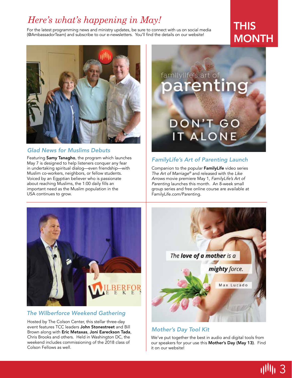# *Here's what's happening in May!*

For the latest programming news and ministry updates, be sure to connect with us on social media (@AmbassadorTeam) and subscribe to our e-newsletters. You'll find the details on our website!

# **THIS MONTH**



### *Glad News for Muslims Debuts*

Featuring Samy Tanagho, the program which launches May 7 is designed to help listeners conquer any fear in undertaking spiritual dialog—even friendship—with Muslim co-workers, neighbors, or fellow students. Voiced by an Egyptian believer who is passionate about reaching Muslims, the 1:00 daily fills an important need as the Muslim population in the USA continues to grow.

# **DON'T GC IT ALON**

### *FamilyLife's Art of Parenting Launch*

familylife's art of

Companion to the popular FamilyLife video series *The Art of Marriage®* and released with the *Like Arrows* movie premiere May 1, *FamilyLife's Art of Parenting* launches this month. An 8-week small group series and free online course are available at FamilyLife.com/Parenting.



### *The Wilberforce Weekend Gathering*

Hosted by The Colson Center, this stellar three-day event features TCC leaders John Stonestreet and Bill Brown along with Eric Metaxas, Joni Eareckson Tada, Chris Brooks and others. Held in Washington DC, the weekend includes commissioning of the 2018 class of Colson Fellows as well.



### *Mother's Day Tool Kit*

We've put together the best in audio and digital tools from our speakers for your use this Mother's Day (May 13). Find it on our website!

3 اااااا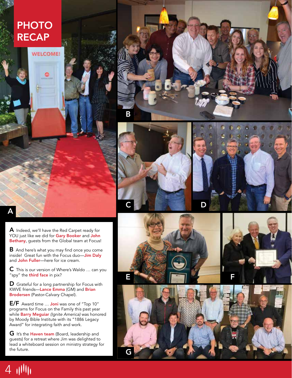# **PHOTO** RECAP

**WELCOME!** 







A Indeed, we'll have the Red Carpet ready for YOU just like we did for Gary Booker and John Bethany, guests from the Global team at Focus!

**B** And here's what you may find once you come inside! Great fun with the Focus duo—Jim Daly and John Fuller-here for ice cream.

 $C$  This is our version of Where's Waldo  $\ldots$  can you "spy" the third face in pix?

 $\mathsf D$  Grateful for a long partnership for Focus with KWVE friends—**Lance Emma** (GM) and **Brian** Brodersen (Pastor-Calvary Chapel).

**E/F** Award time ... Joni was one of "Top 10" programs for Focus on the Family this past year while Barry Meguiar *(Ignite America)* was honored by Moody Bible Institute with its "1886 Legacy Award" for integrating faith and work.

G It's the Haven team (Board, leadership and guests) for a retreat where Jim was delighted to lead a whiteboard session on ministry strategy for the future.







A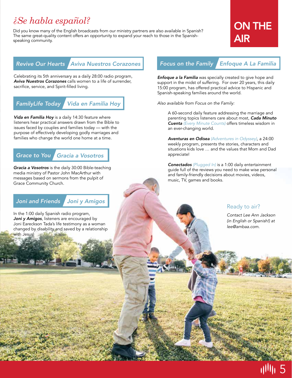# $\emph{iSe habla}$  español?

Did you know many of the English broadcasts from our ministry partners are also available in Spanish? The same great-quality content offers an opportunity to expand your reach to those in the Spanishspeaking community.

# ON THE AIR

# *Revive Our Hearts Aviva Nuestros Corazones*

Celebrating its 5th anniversary as a daily 28:00 radio program, *Aviva Nuestros Corazones* calls women to a life of surrender, sacrifice, service, and Spirit-filled living.

*FamilyLife Today Vida en Familia Hoy*

*Vida en Familia Hoy* is a daily 14:30 feature where listeners hear practical answers drawn from the Bible to issues faced by couples and families today — with the purpose of effectively developing godly marriages and families who change the world one home at a time.

## *Grace to You Gracia a Vosotros*

*Gracia a Vosotros* is the daily 30:00 Bible-teaching media ministry of Pastor John MacArthur with messages based on sermons from the pulpit of Grace Community Church.

### *Joni and Friends Joni y Amigos*

In the 1:00 daily Spanish radio program, Joni y Amigos, listeners are encouraged by Joni Eareckson Tada's life testimony as a woman changed by disability and saved by a relationship with Jesus!

### *Focus on the Family Enfoque A La Familia*

*Enfoque a la Familia* was specially created to give hope and support in the midst of suffering. For over 20 years, this daily 15:00 program, has offered practical advice to Hispanic and Spanish-speaking families around the world.

*Also available from Focus on the Family:*

A 60-second daily feature addressing the marriage and parenting topics listeners care about most, *Cada Minuto Cuenta (Every Minute Counts)* offers timeless wisdom in an ever-changing world.

*Aventuras en Odisea (Adventures in Odyssey)*, a 24:00 weekly program, presents the stories, characters and situations kids love … and the values that Mom and Dad appreciate!

*Conectados (Plugged In)* is a 1:00 daily entertainment guide full of the reviews you need to make wise personal and family-friendly decisions about movies, videos, music, TV, games and books.

### Ready to air?

*Contact Lee Ann Jackson (in English or Spanish!) at lee@ambaa.com.*

5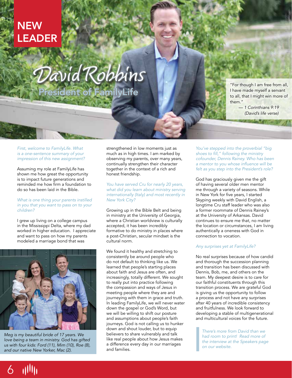# **NEW** LEADER

# David Robbins (For though I am free from all,

President of FamilyLife

I have made myself a servant to all, that I might win more of them."

> *— 1 Corinthians 9:19 (David's life verse)*

*First, welcome to FamilyLife. What is a one-sentence summary of your impression of this new assignment?*

Assuming my role at FamilyLife has shown me how great the opportunity is to impact future generations and reminded me how firm a foundation to do so has been laid in the Bible.

#### *What is one thing your parents instilled in you that you want to pass on to your children?*

I grew up living on a college campus in the Mississippi Delta, where my dad worked in higher education. I appreciate and want to pass on how my parents modeled a marriage bond that was



*Meg is my beautiful bride of 17 years. We love being a team in ministry. God has gifted us with four kids: Ford (11), Mim (10), Roe (8), and our native New Yorker, Mac (2).*

6 1111

strengthened in low moments just as much as in high times. I am marked by observing my parents, over many years, continually strengthen their character together in the context of a rich and honest friendship.

#### *You have served Cru for nearly 20 years, what did you learn about ministry serving internationally (Italy) and most recently in New York City?*

Growing up in the Bible Belt and being in ministry at the University of Georgia, where a Christian worldview is culturally accepted, it has been incredibly formative to do ministry in places where a post-Christian, secular mindset is the cultural norm.

We found it healthy and stretching to consistently be around people who do not default to thinking like us. We learned that people's starting places about faith and Jesus are often, and increasingly, totally different. We sought to really put into practice following the compassion and ways of Jesus in meeting people where they are and journeying with them in grace and truth. In leading FamilyLife, we will never water down the gospel or God's Word, but we will be willing to shift our posture and assumptions about people's faith journeys. God is not calling us to hunker down and shout louder, but to equip believers to share vulnerably and talk like real people about how Jesus makes a difference every day in our marriages and families.

*You've stepped into the proverbial "big*  shoes to fill," following the ministry *cofounder, Dennis Rainey. Who has been*  a mentor to you whose influence will be *felt as you step into the President's role?*

God has graciously given me the gift of having several older men mentor me through a variety of seasons. While in New York for five years, I started Skyping weekly with David English, a longtime Cru staff leader who was also a former roommate of Dennis Rainey's at the University of Arkansas. David continues to ensure me that, no matter the location or circumstances, I am living authentically a oneness with God in connection to vocation.

### *Any surprises yet at FamilyLife?*

No real surprises because of how candid and thorough the succession planning and transition has been discussed with Dennis, Bob, me, and others on the team. My deepest desire is to care for our faithful constituents through this transition process. We are grateful God is giving us the opportunity to follow a process and not have any surprises after 40 years of incredible consistency and fruitfulness. We look forward to developing a stable of multigenerational and multicultural voices for the future.

*There's more from David than we had room to print! Read more of the interview at the Speakers page on our website.*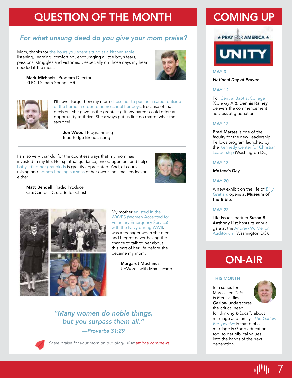# QUESTION OF THE MONTH

# *For what unsung deed do you give your mom praise?*

Mom, thanks for the hours you spent sitting at a kitchen table listening, learning, comforting, encouraging a little boy's fears, passions, struggles and victories… especially on those days my heart needed it the most.



Mark Michaels | Program Director KLRC | Siloam Springs AR



I'll never forget how my mom chose not to pursue a career outside of the home in order to homeschool her boys. Because of that decision, she gave us the greatest gift any parent could offer: an opportunity to thrive. She always put us first no matter what the sacrifice!

Jon Wood | Programming Blue Ridge Broadcasting

I am so very thankful for the countless ways that my mom has invested in my life. Her spiritual guidance, encouragement and help babysitting her grandkids is greatly appreciated. And, of course, raising and homeschooling six sons of her own is no small endeavor either.



Matt Bendell | Radio Producer Cru/Campus Crusade for Christ



My mother enlisted in the WAVES (Women Accepted for Voluntary Emergency Service) with the Navy during WWII. I was a teenager when she died, and I regret never having the chance to talk to her about this part of her life before she became my mom.

> Margaret Mechinus UpWords with Max Lucado

# *"Many women do noble things, but you surpass them all." —Proverbs 31:29*



*Share praise for your mom on our blog! Visit ambaa.com/news.*

# COMING UP



## MAY 3

#### *National Day of Prayer*

### MAY 12

For Central Baptist College (Conway AR), Dennis Rainey delivers the commencement address at graduation.

#### MAY 12

Brad Mattes is one of the faculty for the new Leadership Fellows program launched by the Kennedy Center for Christian Leadership (Washington DC).

#### MAY 13

*Mother's Day*

#### MAY 20

A new exhibit on the life of *Billy Graham* opens at Museum of the Bible.

#### MAY 22

Life Issues' partner Susan B. Anthony List hosts its annual gala at the Andrew W. Mellon Auditorium (Washington DC).

# ON-AIR

#### THIS MONTH

In a series for May called *This is Family*, Jim Garlow underscores



**Allh** 

7

the critical need for thinking *biblically* about marriage and family. *The Garlow Perspective* is that biblical marriage is God's educational tool to get biblical values into the hands of the next generation.